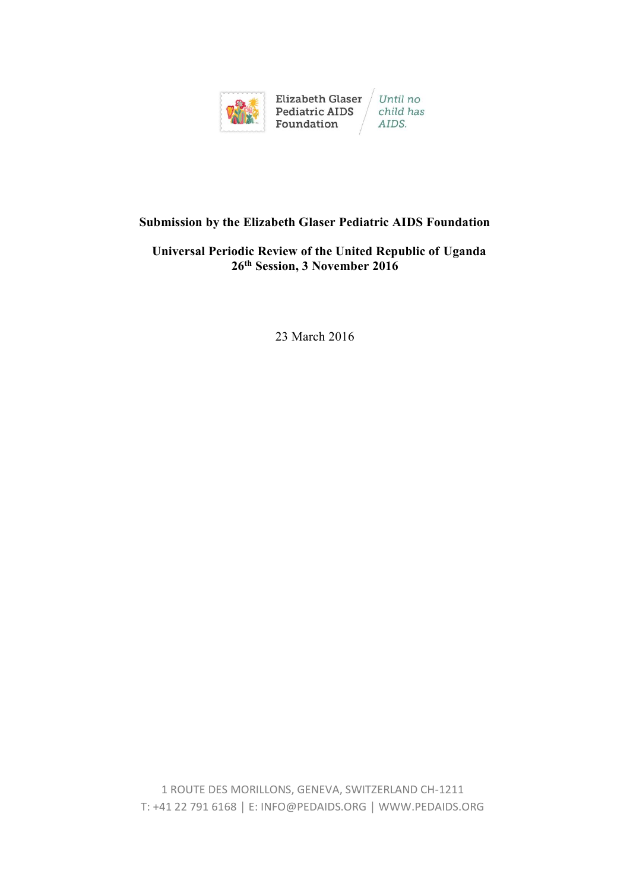

# **Submission by the Elizabeth Glaser Pediatric AIDS Foundation**

### **Universal Periodic Review of the United Republic of Uganda 26 th Session, 3 November 2016**

23 March 2016

1 ROUTE DES MORILLONS, GENEVA, SWITZERLAND CH-1211 T: +41 22 791 6168 │ E: INFO@PEDAIDS.ORG │ WWW.PEDAIDS.ORG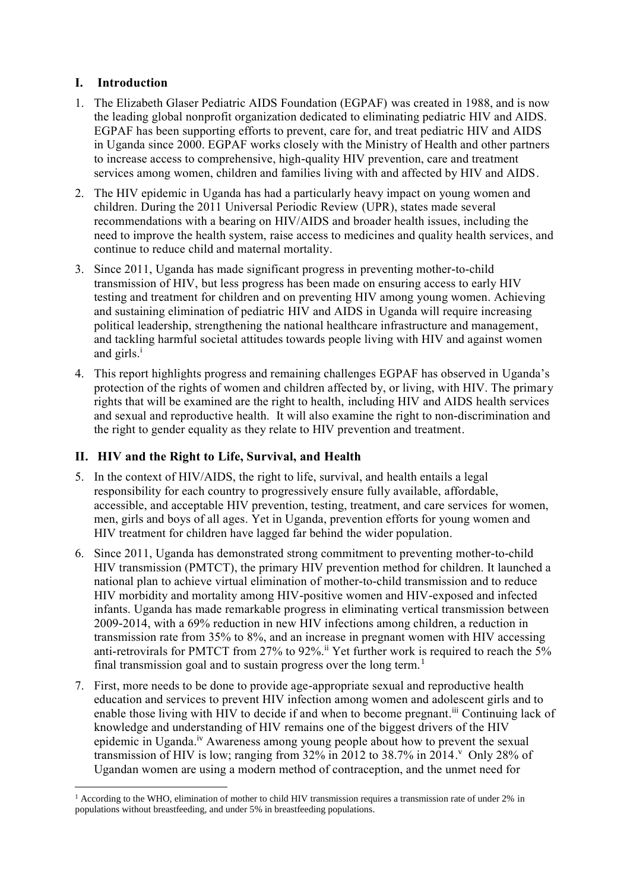# **I. Introduction**

- 1. The Elizabeth Glaser Pediatric AIDS Foundation (EGPAF) was created in 1988, and is now the leading global nonprofit organization dedicated to eliminating pediatric HIV and AIDS. EGPAF has been supporting efforts to prevent, care for, and treat pediatric HIV and AIDS in Uganda since 2000. EGPAF works closely with the Ministry of Health and other partners to increase access to comprehensive, high-quality HIV prevention, care and treatment services among women, children and families living with and affected by HIV and AIDS.
- 2. The HIV epidemic in Uganda has had a particularly heavy impact on young women and children. During the 2011 Universal Periodic Review (UPR), states made several recommendations with a bearing on HIV/AIDS and broader health issues, including the need to improve the health system, raise access to medicines and quality health services, and continue to reduce child and maternal mortality.
- 3. Since 2011, Uganda has made significant progress in preventing mother-to-child transmission of HIV, but less progress has been made on ensuring access to early HIV testing and treatment for children and on preventing HIV among young women. Achieving and sustaining elimination of pediatric HIV and AIDS in Uganda will require increasing political leadership, strengthening the national healthcare infrastructure and management, and tackling harmful societal attitudes towards people living with HIV and against women and girls.<sup>i</sup>
- 4. This report highlights progress and remaining challenges EGPAF has observed in Uganda's protection of the rights of women and children affected by, or living, with HIV. The primary rights that will be examined are the right to health, including HIV and AIDS health services and sexual and reproductive health. It will also examine the right to non-discrimination and the right to gender equality as they relate to HIV prevention and treatment.

### **II. HIV and the Right to Life, Survival, and Health**

- 5. In the context of HIV/AIDS, the right to life, survival, and health entails a legal responsibility for each country to progressively ensure fully available, affordable, accessible, and acceptable HIV prevention, testing, treatment, and care services for women, men, girls and boys of all ages. Yet in Uganda, prevention efforts for young women and HIV treatment for children have lagged far behind the wider population.
- 6. Since 2011, Uganda has demonstrated strong commitment to preventing mother-to-child HIV transmission (PMTCT), the primary HIV prevention method for children. It launched a national plan to achieve virtual elimination of mother-to-child transmission and to reduce HIV morbidity and mortality among HIV-positive women and HIV-exposed and infected infants. Uganda has made remarkable progress in eliminating vertical transmission between 2009-2014, with a 69% reduction in new HIV infections among children, a reduction in transmission rate from 35% to 8%, and an increase in pregnant women with HIV accessing anti-retrovirals for PMTCT from 27% to 92%.<sup>ii</sup> Yet further work is required to reach the  $5\%$ final transmission goal and to sustain progress over the long term.<sup>1</sup>
- 7. First, more needs to be done to provide age-appropriate sexual and reproductive health education and services to prevent HIV infection among women and adolescent girls and to enable those living with HIV to decide if and when to become pregnant.<sup>iii</sup> Continuing lack of knowledge and understanding of HIV remains one of the biggest drivers of the HIV epidemic in Uganda.<sup>iv</sup> Awareness among young people about how to prevent the sexual transmission of HIV is low; ranging from 32% in 2012 to 38.7% in 2014. <sup>V</sup> Only 28% of Ugandan women are using a modern method of contraception, and the unmet need for

 $\overline{a}$  $1$  According to the WHO, elimination of mother to child HIV transmission requires a transmission rate of under 2% in populations without breastfeeding, and under 5% in breastfeeding populations.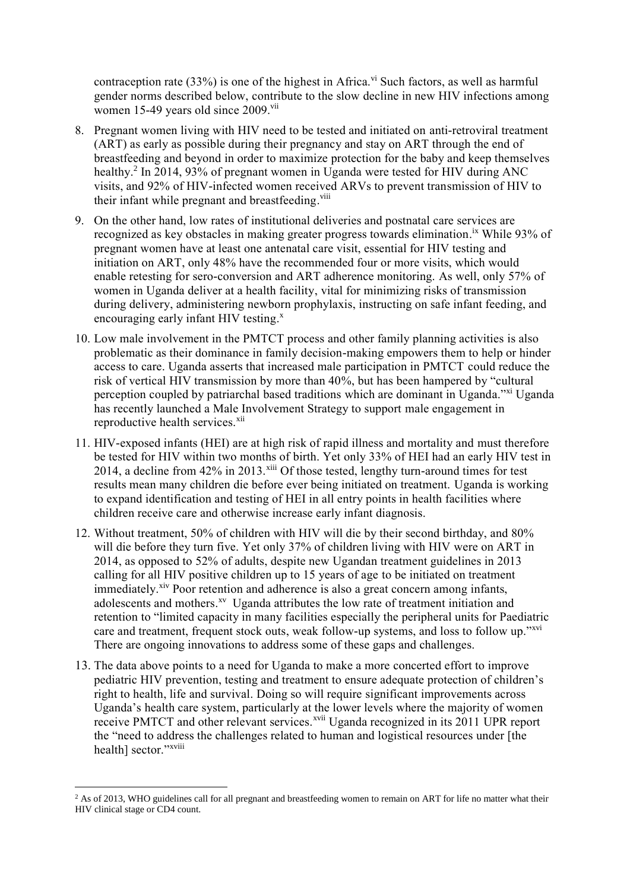contraception rate  $(33%)$  is one of the highest in Africa.<sup>vi</sup> Such factors, as well as harmful gender norms described below, contribute to the slow decline in new HIV infections among women 15-49 years old since 2009.<sup>vii</sup>

- 8. Pregnant women living with HIV need to be tested and initiated on anti-retroviral treatment (ART) as early as possible during their pregnancy and stay on ART through the end of breastfeeding and beyond in order to maximize protection for the baby and keep themselves healthy.<sup>2</sup> In 2014, 93% of pregnant women in Uganda were tested for HIV during ANC visits, and 92% of HIV-infected women received ARVs to prevent transmission of HIV to their infant while pregnant and breastfeeding.<sup>viii</sup>
- 9. On the other hand, low rates of institutional deliveries and postnatal care services are recognized as key obstacles in making greater progress towards elimination.<sup>ix</sup> While 93% of pregnant women have at least one antenatal care visit, essential for HIV testing and initiation on ART, only 48% have the recommended four or more visits, which would enable retesting for sero-conversion and ART adherence monitoring. As well, only 57% of women in Uganda deliver at a health facility, vital for minimizing risks of transmission during delivery, administering newborn prophylaxis, instructing on safe infant feeding, and encouraging early infant HIV testing.<sup>x</sup>
- 10. Low male involvement in the PMTCT process and other family planning activities is also problematic as their dominance in family decision-making empowers them to help or hinder access to care. Uganda asserts that increased male participation in PMTCT could reduce the risk of vertical HIV transmission by more than 40%, but has been hampered by "cultural perception coupled by patriarchal based traditions which are dominant in Uganda."<sup>xi</sup> Uganda has recently launched a Male Involvement Strategy to support male engagement in reproductive health services.<sup>xii</sup>
- 11. HIV-exposed infants (HEI) are at high risk of rapid illness and mortality and must therefore be tested for HIV within two months of birth. Yet only 33% of HEI had an early HIV test in 2014, a decline from  $42\%$  in 2013.<sup>xiii</sup> Of those tested, lengthy turn-around times for test results mean many children die before ever being initiated on treatment. Uganda is working to expand identification and testing of HEI in all entry points in health facilities where children receive care and otherwise increase early infant diagnosis.
- 12. Without treatment, 50% of children with HIV will die by their second birthday, and 80% will die before they turn five. Yet only 37% of children living with HIV were on ART in 2014, as opposed to 52% of adults, despite new Ugandan treatment guidelines in 2013 calling for all HIV positive children up to 15 years of age to be initiated on treatment immediately.<sup>xiv</sup> Poor retention and adherence is also a great concern among infants, adolescents and mothers.<sup>xv</sup> Uganda attributes the low rate of treatment initiation and retention to "limited capacity in many facilities especially the peripheral units for Paediatric care and treatment, frequent stock outs, weak follow-up systems, and loss to follow up."<sup>xvi</sup> There are ongoing innovations to address some of these gaps and challenges.
- 13. The data above points to a need for Uganda to make a more concerted effort to improve pediatric HIV prevention, testing and treatment to ensure adequate protection of children's right to health, life and survival. Doing so will require significant improvements across Uganda's health care system, particularly at the lower levels where the majority of women receive PMTCT and other relevant services.<sup>xvii</sup> Uganda recognized in its 2011 UPR report the "need to address the challenges related to human and logistical resources under [the health] sector."xviii

 $\overline{a}$ 

<sup>&</sup>lt;sup>2</sup> As of 2013, WHO guidelines call for all pregnant and breastfeeding women to remain on ART for life no matter what their HIV clinical stage or CD4 count.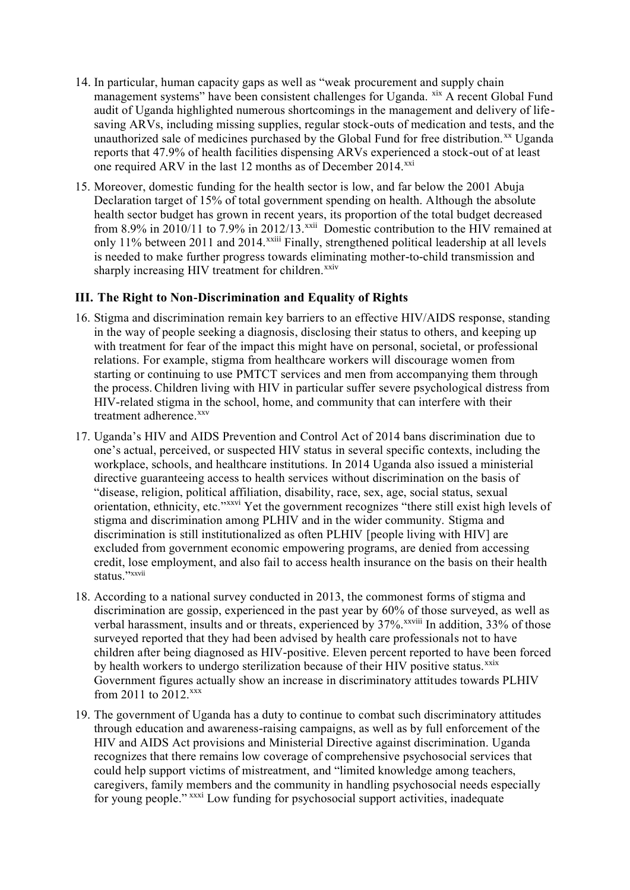- 14. In particular, human capacity gaps as well as "weak procurement and supply chain management systems" have been consistent challenges for Uganda. xix A recent Global Fund audit of Uganda highlighted numerous shortcomings in the management and delivery of lifesaving ARVs, including missing supplies, regular stock-outs of medication and tests, and the unauthorized sale of medicines purchased by the Global Fund for free distribution.<sup>xx</sup> Uganda reports that 47.9% of health facilities dispensing ARVs experienced a stock-out of at least one required ARV in the last 12 months as of December 2014. $^{xxi}$
- 15. Moreover, domestic funding for the health sector is low, and far below the 2001 Abuja Declaration target of 15% of total government spending on health. Although the absolute health sector budget has grown in recent years, its proportion of the total budget decreased from 8.9% in 2010/11 to 7.9% in 2012/13.<sup>xxii</sup> Domestic contribution to the HIV remained at only 11% between 2011 and 2014.<sup>xxiii</sup> Finally, strengthened political leadership at all levels is needed to make further progress towards eliminating mother-to-child transmission and sharply increasing HIV treatment for children.<sup>xxiv</sup>

#### **III. The Right to Non-Discrimination and Equality of Rights**

- 16. Stigma and discrimination remain key barriers to an effective HIV/AIDS response, standing in the way of people seeking a diagnosis, disclosing their status to others, and keeping up with treatment for fear of the impact this might have on personal, societal, or professional relations. For example, stigma from healthcare workers will discourage women from starting or continuing to use PMTCT services and men from accompanying them through the process. Children living with HIV in particular suffer severe psychological distress from HIV-related stigma in the school, home, and community that can interfere with their treatment adherence.<sup>xxv</sup>
- 17. Uganda's HIV and AIDS Prevention and Control Act of 2014 bans discrimination due to one's actual, perceived, or suspected HIV status in several specific contexts, including the workplace, schools, and healthcare institutions. In 2014 Uganda also issued a ministerial directive guaranteeing access to health services without discrimination on the basis of "disease, religion, political affiliation, disability, race, sex, age, social status, sexual orientation, ethnicity, etc."xxvi Yet the government recognizes "there still exist high levels of stigma and discrimination among PLHIV and in the wider community. Stigma and discrimination is still institutionalized as often PLHIV [people living with HIV] are excluded from government economic empowering programs, are denied from accessing credit, lose employment, and also fail to access health insurance on the basis on their health status." xxvii
- 18. According to a national survey conducted in 2013, the commonest forms of stigma and discrimination are gossip, experienced in the past year by 60% of those surveyed, as well as verbal harassment, insults and or threats, experienced by 37%. *xxviii* In addition, 33% of those surveyed reported that they had been advised by health care professionals not to have children after being diagnosed as HIV-positive. Eleven percent reported to have been forced by health workers to undergo sterilization because of their HIV positive status.<sup>xxix</sup> Government figures actually show an increase in discriminatory attitudes towards PLHIV from 2011 to  $2012$ <sup>xxx</sup>
- 19. The government of Uganda has a duty to continue to combat such discriminatory attitudes through education and awareness-raising campaigns, as well as by full enforcement of the HIV and AIDS Act provisions and Ministerial Directive against discrimination. Uganda recognizes that there remains low coverage of comprehensive psychosocial services that could help support victims of mistreatment, and "limited knowledge among teachers, caregivers, family members and the community in handling psychosocial needs especially for young people."<sup>xxxi</sup> Low funding for psychosocial support activities, inadequate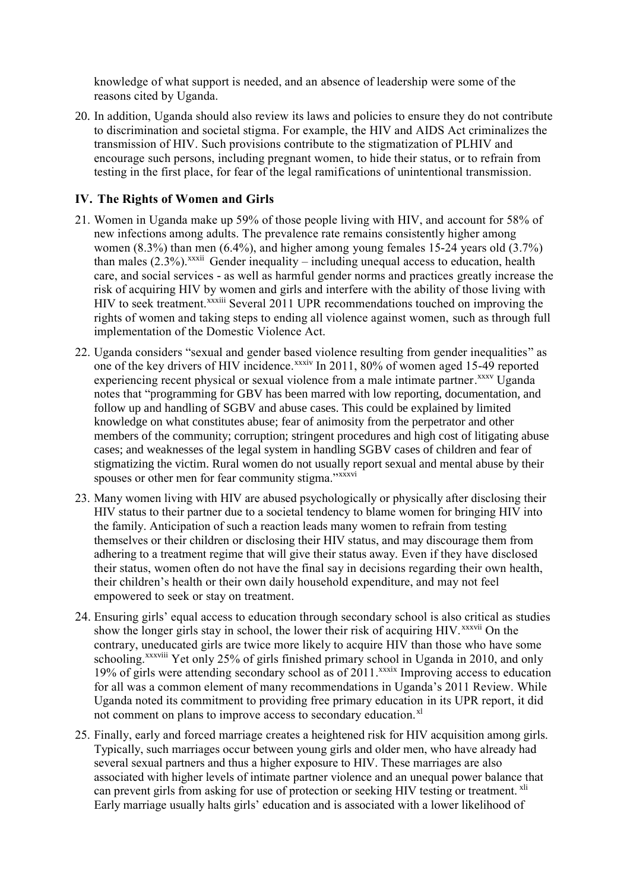knowledge of what support is needed, and an absence of leadership were some of the reasons cited by Uganda.

20. In addition, Uganda should also review its laws and policies to ensure they do not contribute to discrimination and societal stigma. For example, the HIV and AIDS Act criminalizes the transmission of HIV. Such provisions contribute to the stigmatization of PLHIV and encourage such persons, including pregnant women, to hide their status, or to refrain from testing in the first place, for fear of the legal ramifications of unintentional transmission.

#### **IV. The Rights of Women and Girls**

- 21. Women in Uganda make up 59% of those people living with HIV, and account for 58% of new infections among adults. The prevalence rate remains consistently higher among women (8.3%) than men (6.4%), and higher among young females 15-24 years old (3.7%) than males  $(2.3\%)$ .<sup>xxxii</sup> Gender inequality – including unequal access to education, health care, and social services - as well as harmful gender norms and practices greatly increase the risk of acquiring HIV by women and girls and interfere with the ability of those living with HIV to seek treatment.<sup>xxxiii</sup> Several 2011 UPR recommendations touched on improving the rights of women and taking steps to ending all violence against women, such as through full implementation of the Domestic Violence Act.
- 22. Uganda considers "sexual and gender based violence resulting from gender inequalities" as one of the key drivers of HIV incidence.<sup>xxxiv</sup> In 2011, 80% of women aged 15-49 reported experiencing recent physical or sexual violence from a male intimate partner.<sup>xxxv</sup> Uganda notes that "programming for GBV has been marred with low reporting, documentation, and follow up and handling of SGBV and abuse cases. This could be explained by limited knowledge on what constitutes abuse; fear of animosity from the perpetrator and other members of the community; corruption; stringent procedures and high cost of litigating abuse cases; and weaknesses of the legal system in handling SGBV cases of children and fear of stigmatizing the victim. Rural women do not usually report sexual and mental abuse by their spouses or other men for fear community stigma."xxxvi
- 23. Many women living with HIV are abused psychologically or physically after disclosing their HIV status to their partner due to a societal tendency to blame women for bringing HIV into the family. Anticipation of such a reaction leads many women to refrain from testing themselves or their children or disclosing their HIV status, and may discourage them from adhering to a treatment regime that will give their status away. Even if they have disclosed their status, women often do not have the final say in decisions regarding their own health, their children's health or their own daily household expenditure, and may not feel empowered to seek or stay on treatment.
- 24. Ensuring girls' equal access to education through secondary school is also critical as studies show the longer girls stay in school, the lower their risk of acquiring HIV.<sup>xxxvii</sup> On the contrary, uneducated girls are twice more likely to acquire HIV than those who have some schooling.<sup>xxxviii</sup> Yet only 25% of girls finished primary school in Uganda in 2010, and only 19% of girls were attending secondary school as of 2011.<sup>xxxix</sup> Improving access to education for all was a common element of many recommendations in Uganda's 2011 Review. While Uganda noted its commitment to providing free primary education in its UPR report, it did not comment on plans to improve access to secondary education.<sup>xl</sup>
- 25. Finally, early and forced marriage creates a heightened risk for HIV acquisition among girls. Typically, such marriages occur between young girls and older men, who have already had several sexual partners and thus a higher exposure to HIV. These marriages are also associated with higher levels of intimate partner violence and an unequal power balance that can prevent girls from asking for use of protection or seeking HIV testing or treatment. xli Early marriage usually halts girls' education and is associated with a lower likelihood of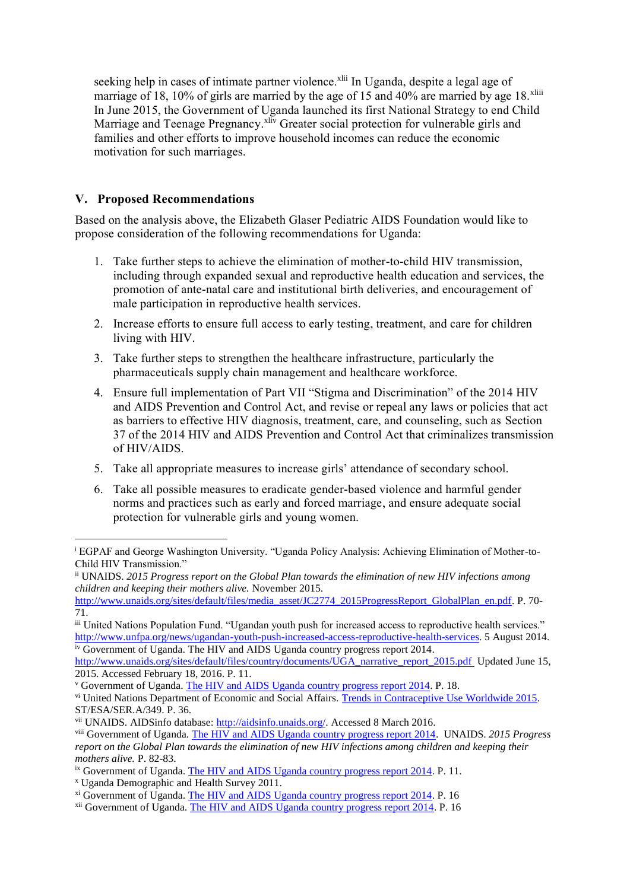seeking help in cases of intimate partner violence.<sup>xlii</sup> In Uganda, despite a legal age of marriage of 18, 10% of girls are married by the age of 15 and 40% are married by age 18.<sup>xliii</sup> In June 2015, the Government of Uganda launched its first National Strategy to end Child Marriage and Teenage Pregnancy.<sup>xliv</sup> Greater social protection for vulnerable girls and families and other efforts to improve household incomes can reduce the economic motivation for such marriages.

## **V. Proposed Recommendations**

Based on the analysis above, the Elizabeth Glaser Pediatric AIDS Foundation would like to propose consideration of the following recommendations for Uganda:

- 1. Take further steps to achieve the elimination of mother-to-child HIV transmission, including through expanded sexual and reproductive health education and services, the promotion of ante-natal care and institutional birth deliveries, and encouragement of male participation in reproductive health services.
- 2. Increase efforts to ensure full access to early testing, treatment, and care for children living with HIV.
- 3. Take further steps to strengthen the healthcare infrastructure, particularly the pharmaceuticals supply chain management and healthcare workforce.
- 4. Ensure full implementation of Part VII "Stigma and Discrimination" of the 2014 HIV and AIDS Prevention and Control Act, and revise or repeal any laws or policies that act as barriers to effective HIV diagnosis, treatment, care, and counseling, such as Section 37 of the 2014 HIV and AIDS Prevention and Control Act that criminalizes transmission of HIV/AIDS.
- 5. Take all appropriate measures to increase girls' attendance of secondary school.
- 6. Take all possible measures to eradicate gender-based violence and harmful gender norms and practices such as early and forced marriage, and ensure adequate social protection for vulnerable girls and young women.

 $\overline{a}$ 

<sup>i</sup> EGPAF and George Washington University. "Uganda Policy Analysis: Achieving Elimination of Mother-to-Child HIV Transmission."

ii UNAIDS. *2015 Progress report on the Global Plan towards the elimination of new HIV infections among children and keeping their mothers alive.* November 2015.

[http://www.unaids.org/sites/default/files/media\\_asset/JC2774\\_2015ProgressReport\\_GlobalPlan\\_en.pdf.](http://www.unaids.org/sites/default/files/media_asset/JC2774_2015ProgressReport_GlobalPlan_en.pdf) P. 70-71.

iii United Nations Population Fund. "Ugandan youth push for increased access to reproductive health services." [http://www.unfpa.org/news/ugandan-youth-push-increased-access-reproductive-health-services.](http://www.unfpa.org/news/ugandan-youth-push-increased-access-reproductive-health-services) 5 August 2014. iv Government of Uganda. The HIV and AIDS Uganda country progress report 2014.

[http://www.unaids.org/sites/default/files/country/documents/UGA\\_narrative\\_report\\_2015.pdf](http://www.unaids.org/sites/default/files/country/documents/UGA_narrative_report_2015.pdf) Updated June 15, 2015. Accessed February 18, 2016. P. 11.

<sup>v</sup> Government of Uganda. [The HIV and AIDS Uganda country progress report 2014.](http://www.unaids.org/sites/default/files/country/documents/UGA_narrative_report_2015.pdf) P. 18.

vi United Nations Department of Economic and Social Affairs. [Trends in Contraceptive Use Worldwide 2015.](http://www.un.org/en/development/desa/population/publications/pdf/family/trendsContraceptiveUse2015Report.pdf) ST/ESA/SER.A/349. P. 36.

vii UNAIDS. AIDSinfo database[: http://aidsinfo.unaids.org/.](http://aidsinfo.unaids.org/) Accessed 8 March 2016.

viii Government of Uganda. [The HIV and AIDS Uganda country progress report 2014.](http://www.unaids.org/sites/default/files/country/documents/UGA_narrative_report_2015.pdf) UNAIDS. *2015 Progress report on the Global Plan towards the elimination of new HIV infections among children and keeping their mothers alive.* P. 82-83.

<sup>&</sup>lt;sup>ix</sup> Government of Uganda. [The HIV and AIDS Uganda country progress report 2014.](http://www.unaids.org/sites/default/files/country/documents/UGA_narrative_report_2015.pdf) P. 11.

<sup>x</sup> Uganda Demographic and Health Survey 2011.

<sup>&</sup>lt;sup>xi</sup> Government of Uganda. [The HIV and AIDS Uganda country progress report 2014.](http://www.unaids.org/sites/default/files/country/documents/UGA_narrative_report_2015.pdf) P. 16

xii Government of Uganda[. The HIV and AIDS Uganda country progress report 2014.](http://www.unaids.org/sites/default/files/country/documents/UGA_narrative_report_2015.pdf) P. 16